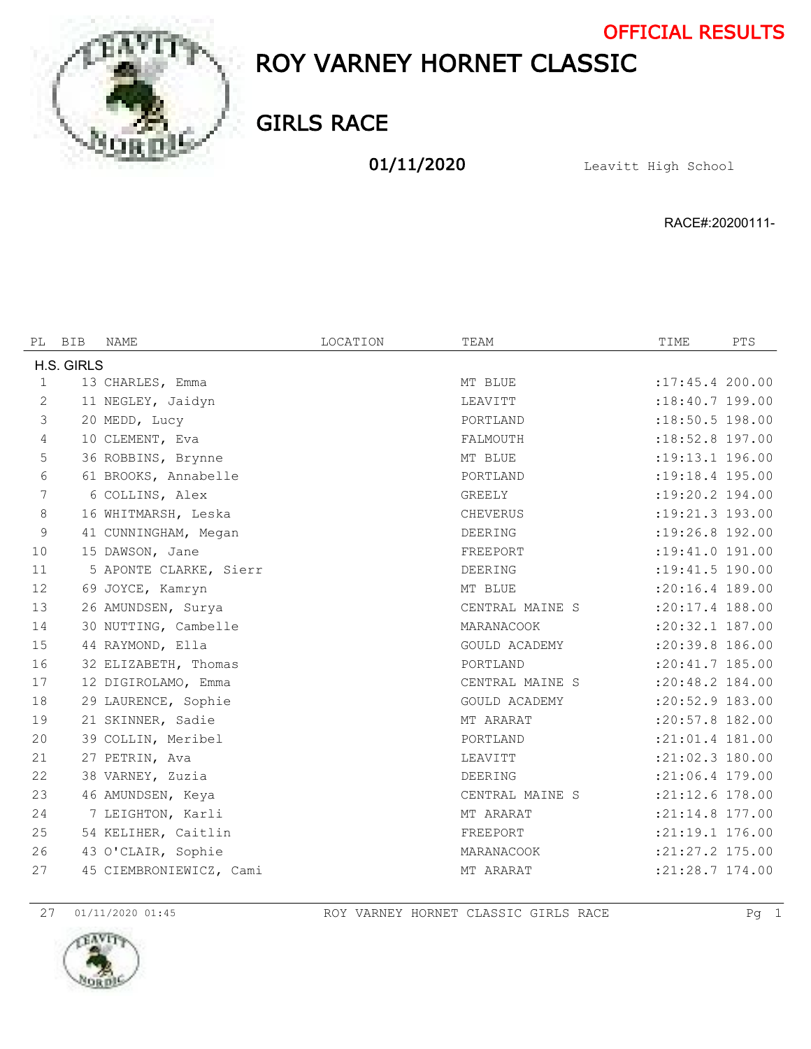

# ROY VARNEY HORNET CLASSIC OFFICIAL RESULTS

GIRLS RACE

01/11/2020 Leavitt High School

RACE#:20200111-

| PL          | <b>BIB</b> | <b>NAME</b>             | LOCATION | TEAM                 | TIME                | PTS |
|-------------|------------|-------------------------|----------|----------------------|---------------------|-----|
|             | H.S. GIRLS |                         |          |                      |                     |     |
| $\mathbf 1$ |            | 13 CHARLES, Emma        |          | MT BLUE              | : 17: 45.4 200.00   |     |
| 2           |            | 11 NEGLEY, Jaidyn       |          | LEAVITT              | $:18:40.7$ 199.00   |     |
| 3           |            | 20 MEDD, Lucy           |          | PORTLAND             | :18:50.5 198.00     |     |
| 4           |            | 10 CLEMENT, Eva         |          | FALMOUTH             | $:18:52.8$ 197.00   |     |
| 5           |            | 36 ROBBINS, Brynne      |          | MT BLUE              | :19:13.1 196.00     |     |
| 6           |            | 61 BROOKS, Annabelle    |          | PORTLAND             | $: 19:18.4$ 195.00  |     |
| 7           |            | 6 COLLINS, Alex         |          | GREELY               | :19:20.2 194.00     |     |
| 8           |            | 16 WHITMARSH, Leska     |          | <b>CHEVERUS</b>      | $:19:21.3$ 193.00   |     |
| 9           |            | 41 CUNNINGHAM, Megan    |          | DEERING              | :19:26.8 192.00     |     |
| 10          |            | 15 DAWSON, Jane         |          | FREEPORT             | :19:41.0 191.00     |     |
| 11          |            | 5 APONTE CLARKE, Sierr  |          | DEERING              | : 19: 41.5 190.00   |     |
| 12          |            | 69 JOYCE, Kamryn        |          | MT BLUE              | :20:16.4 189.00     |     |
| 13          |            | 26 AMUNDSEN, Surya      |          | CENTRAL MAINE S      | :20:17.4 188.00     |     |
| 14          |            | 30 NUTTING, Cambelle    |          | MARANACOOK           | $: 20:32.1$ 187.00  |     |
| 15          |            | 44 RAYMOND, Ella        |          | <b>GOULD ACADEMY</b> | $: 20:39.8$ 186.00  |     |
| 16          |            | 32 ELIZABETH, Thomas    |          | PORTLAND             | :20:41.7 185.00     |     |
| 17          |            | 12 DIGIROLAMO, Emma     |          | CENTRAL MAINE S      | :20:48.2 184.00     |     |
| 18          |            | 29 LAURENCE, Sophie     |          | <b>GOULD ACADEMY</b> | :20:52.9 183.00     |     |
| 19          |            | 21 SKINNER, Sadie       |          | MT ARARAT            | :20:57.8 182.00     |     |
| 20          |            | 39 COLLIN, Meribel      |          | PORTLAND             | :21:01.4 181.00     |     |
| 21          |            | 27 PETRIN, Ava          |          | LEAVITT              | :21:02.3 180.00     |     |
| 22          |            | 38 VARNEY, Zuzia        |          | DEERING              | $: 21:06.4$ 179.00  |     |
| 23          |            | 46 AMUNDSEN, Keya       |          | CENTRAL MAINE S      | :21:12.6 178.00     |     |
| 24          |            | 7 LEIGHTON, Karli       |          | MT ARARAT            | $: 21:14.8$ 177.00  |     |
| 25          |            | 54 KELIHER, Caitlin     |          | FREEPORT             | :21:19.1 176.00     |     |
| 26          |            | 43 O'CLAIR, Sophie      |          | MARANACOOK           | $: 21: 27.2$ 175.00 |     |
| 27          |            | 45 CIEMBRONIEWICZ, Cami |          | MT ARARAT            | :21:28.7 174.00     |     |

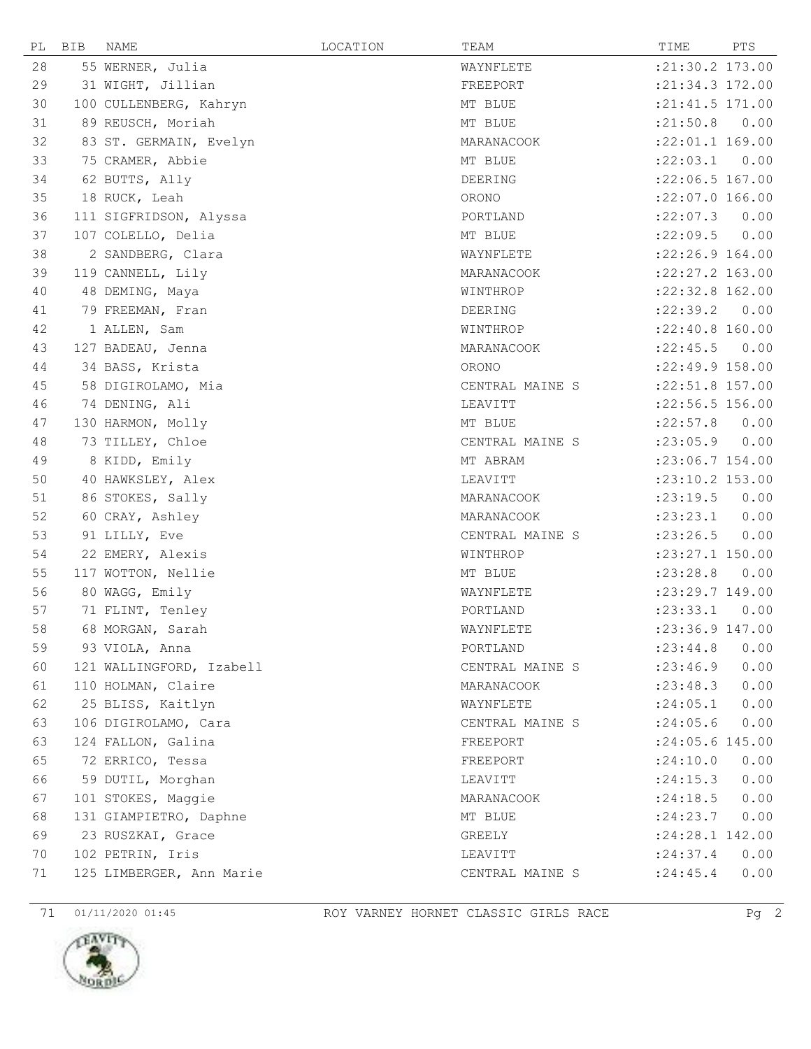| РL | BIB | <b>NAME</b>              | LOCATION | TEAM            | TIME              | PTS  |
|----|-----|--------------------------|----------|-----------------|-------------------|------|
| 28 |     | 55 WERNER, Julia         |          | WAYNFLETE       | : 21: 30.2 173.00 |      |
| 29 |     | 31 WIGHT, Jillian        |          | FREEPORT        | :21:34.3 172.00   |      |
| 30 |     | 100 CULLENBERG, Kahryn   |          | MT BLUE         | : 21: 41.5 171.00 |      |
| 31 |     | 89 REUSCH, Moriah        |          | MT BLUE         | : 21:50.8         | 0.00 |
| 32 |     | 83 ST. GERMAIN, Evelyn   |          | MARANACOOK      | :22:01.1 169.00   |      |
| 33 |     | 75 CRAMER, Abbie         |          | MT BLUE         | :22:03.1          | 0.00 |
| 34 |     | 62 BUTTS, Ally           |          | DEERING         | :22:06.5 167.00   |      |
| 35 |     | 18 RUCK, Leah            |          | ORONO           | :22:07.0 166.00   |      |
| 36 |     | 111 SIGFRIDSON, Alyssa   |          | PORTLAND        | :22:07.3          | 0.00 |
| 37 |     | 107 COLELLO, Delia       |          | MT BLUE         | :22:09.5          | 0.00 |
| 38 |     | 2 SANDBERG, Clara        |          | WAYNFLETE       | :22:26.9 164.00   |      |
| 39 |     | 119 CANNELL, Lily        |          | MARANACOOK      | :22:27.2 163.00   |      |
| 40 |     | 48 DEMING, Maya          |          | WINTHROP        | $:22:32.8$ 162.00 |      |
| 41 |     | 79 FREEMAN, Fran         |          | DEERING         | : 22: 39.2        | 0.00 |
| 42 |     | 1 ALLEN, Sam             |          | WINTHROP        | :22:40.8 160.00   |      |
| 43 |     | 127 BADEAU, Jenna        |          | MARANACOOK      | : 22: 45.5        | 0.00 |
| 44 |     | 34 BASS, Krista          |          | ORONO           | : 22: 49.9 158.00 |      |
| 45 |     | 58 DIGIROLAMO, Mia       |          | CENTRAL MAINE S | $:22:51.8$ 157.00 |      |
| 46 |     | 74 DENING, Ali           |          | LEAVITT         | :22:56.5 156.00   |      |
| 47 |     | 130 HARMON, Molly        |          | MT BLUE         | :22:57.8          | 0.00 |
| 48 |     | 73 TILLEY, Chloe         |          | CENTRAL MAINE S | : 23:05.9         | 0.00 |
| 49 |     | 8 KIDD, Emily            |          | MT ABRAM        | :23:06.7 154.00   |      |
| 50 |     | 40 HAWKSLEY, Alex        |          | LEAVITT         | :23:10.2 153.00   |      |
| 51 |     | 86 STOKES, Sally         |          | MARANACOOK      | : 23: 19.5        | 0.00 |
| 52 |     | 60 CRAY, Ashley          |          | MARANACOOK      | : 23: 23.1        | 0.00 |
| 53 |     | 91 LILLY, Eve            |          | CENTRAL MAINE S | : 23:26.5         | 0.00 |
| 54 |     | 22 EMERY, Alexis         |          | WINTHROP        | :23:27.1 150.00   |      |
| 55 |     | 117 WOTTON, Nellie       |          | MT BLUE         | : 23:28.8         | 0.00 |
| 56 |     | 80 WAGG, Emily           |          | WAYNFLETE       | :23:29.7 149.00   |      |
| 57 |     | 71 FLINT, Tenley         |          | PORTLAND        | : 23: 33.1        | 0.00 |
| 58 |     | 68 MORGAN, Sarah         |          | WAYNFLETE       | :23:36.9 147.00   |      |
| 59 |     | 93 VIOLA, Anna           |          | PORTLAND        | : 23: 44.8        | 0.00 |
| 60 |     | 121 WALLINGFORD, Izabell |          | CENTRAL MAINE S | : 23:46.9         | 0.00 |
| 61 |     | 110 HOLMAN, Claire       |          | MARANACOOK      | : 23: 48.3        | 0.00 |
| 62 |     | 25 BLISS, Kaitlyn        |          | WAYNFLETE       | : 24:05.1         | 0.00 |
| 63 |     | 106 DIGIROLAMO, Cara     |          | CENTRAL MAINE S | : 24:05.6         | 0.00 |
| 63 |     | 124 FALLON, Galina       |          | FREEPORT        | :24:05.6 145.00   |      |
| 65 |     | 72 ERRICO, Tessa         |          | FREEPORT        | : 24:10.0         | 0.00 |
| 66 |     | 59 DUTIL, Morghan        |          | LEAVITT         | : 24:15.3         | 0.00 |
| 67 |     | 101 STOKES, Maggie       |          | MARANACOOK      | : 24:18.5         | 0.00 |
| 68 |     | 131 GIAMPIETRO, Daphne   |          | MT BLUE         | : 24: 23.7        | 0.00 |
| 69 |     | 23 RUSZKAI, Grace        |          | GREELY          | :24:28.1 142.00   |      |
| 70 |     | 102 PETRIN, Iris         |          | LEAVITT         | : 24:37.4         | 0.00 |
| 71 |     | 125 LIMBERGER, Ann Marie |          | CENTRAL MAINE S | : 24:45.4         | 0.00 |

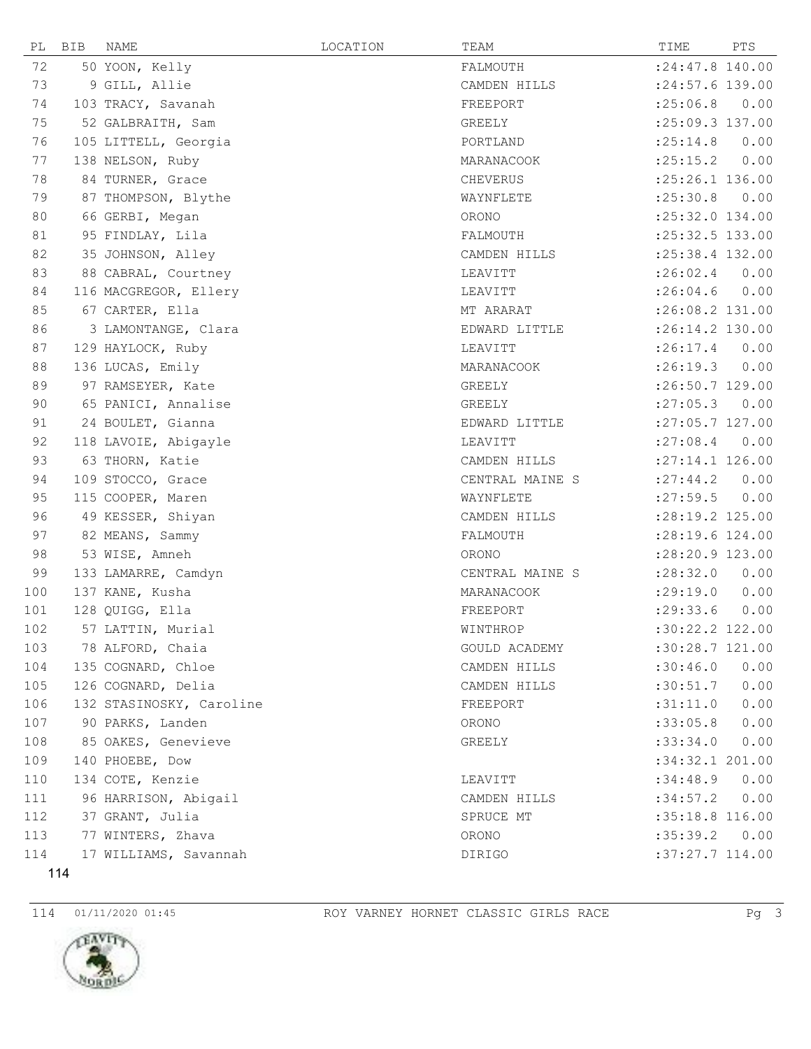| РL  | BIB | NAME                     | LOCATION | TEAM            | TIME               | PTS  |
|-----|-----|--------------------------|----------|-----------------|--------------------|------|
| 72  |     | 50 YOON, Kelly           |          | FALMOUTH        | $: 24:47.8$ 140.00 |      |
| 73  |     | 9 GILL, Allie            |          | CAMDEN HILLS    | $: 24:57.6$ 139.00 |      |
| 74  |     | 103 TRACY, Savanah       |          | FREEPORT        | :25:06.8           | 0.00 |
| 75  |     | 52 GALBRAITH, Sam        |          | GREELY          | :25:09.3 137.00    |      |
| 76  |     | 105 LITTELL, Georgia     |          | PORTLAND        | :25:14.8           | 0.00 |
| 77  |     | 138 NELSON, Ruby         |          | MARANACOOK      | : 25:15.2          | 0.00 |
| 78  |     | 84 TURNER, Grace         |          | CHEVERUS        | :25:26.1 136.00    |      |
| 79  |     | 87 THOMPSON, Blythe      |          | WAYNFLETE       | : 25:30.8          | 0.00 |
| 80  |     | 66 GERBI, Megan          |          | ORONO           | :25:32.0 134.00    |      |
| 81  |     | 95 FINDLAY, Lila         |          | FALMOUTH        | :25:32.5 133.00    |      |
| 82  |     | 35 JOHNSON, Alley        |          | CAMDEN HILLS    | :25:38.4 132.00    |      |
| 83  |     | 88 CABRAL, Courtney      |          | LEAVITT         | :26:02.4           | 0.00 |
| 84  |     | 116 MACGREGOR, Ellery    |          | LEAVITT         | : 26:04.6          | 0.00 |
| 85  |     | 67 CARTER, Ella          |          | MT ARARAT       | :26:08.2 131.00    |      |
| 86  |     | 3 LAMONTANGE, Clara      |          | EDWARD LITTLE   | :26:14.2 130.00    |      |
| 87  |     | 129 HAYLOCK, Ruby        |          | LEAVITT         | : 26:17.4          | 0.00 |
| 88  |     | 136 LUCAS, Emily         |          | MARANACOOK      | :26:19.3           | 0.00 |
| 89  |     | 97 RAMSEYER, Kate        |          | GREELY          | :26:50.7 129.00    |      |
| 90  |     | 65 PANICI, Annalise      |          | GREELY          | : 27:05.3          | 0.00 |
| 91  |     | 24 BOULET, Gianna        |          | EDWARD LITTLE   | $: 27:05.7$ 127.00 |      |
| 92  |     | 118 LAVOIE, Abigayle     |          | LEAVITT         | : 27:08.4          | 0.00 |
| 93  |     | 63 THORN, Katie          |          | CAMDEN HILLS    | $: 27:14.1$ 126.00 |      |
| 94  |     | 109 STOCCO, Grace        |          | CENTRAL MAINE S | : 27: 44.2         | 0.00 |
| 95  |     | 115 COOPER, Maren        |          | WAYNFLETE       | : 27:59.5          | 0.00 |
| 96  |     | 49 KESSER, Shiyan        |          | CAMDEN HILLS    | :28:19.2 125.00    |      |
| 97  |     | 82 MEANS, Sammy          |          | FALMOUTH        | :28:19.6 124.00    |      |
| 98  |     | 53 WISE, Amneh           |          | ORONO           | :28:20.9 123.00    |      |
| 99  |     | 133 LAMARRE, Camdyn      |          | CENTRAL MAINE S | : 28:32.0          | 0.00 |
| 100 |     | 137 KANE, Kusha          |          | MARANACOOK      | : 29:19.0          | 0.00 |
| 101 |     | 128 QUIGG, Ella          |          | FREEPORT        | : 29:33.6          | 0.00 |
| 102 |     | 57 LATTIN, Murial        |          | WINTHROP        | :30:22.2 122.00    |      |
| 103 |     | 78 ALFORD, Chaia         |          | GOULD ACADEMY   | :30:28.7 121.00    |      |
| 104 |     | 135 COGNARD, Chloe       |          | CAMDEN HILLS    | :30:46.0           | 0.00 |
| 105 |     | 126 COGNARD, Delia       |          | CAMDEN HILLS    | :30:51.7           | 0.00 |
| 106 |     | 132 STASINOSKY, Caroline |          | FREEPORT        | :31:11.0           | 0.00 |
| 107 |     | 90 PARKS, Landen         |          | ORONO           | :33:05.8           | 0.00 |
| 108 |     | 85 OAKES, Genevieve      |          | GREELY          | :33:34.0           | 0.00 |
| 109 |     | 140 PHOEBE, Dow          |          |                 | :34:32.1 201.00    |      |
| 110 |     | 134 COTE, Kenzie         |          | LEAVITT         | :34:48.9           | 0.00 |
| 111 |     | 96 HARRISON, Abigail     |          | CAMDEN HILLS    | :34:57.2           | 0.00 |
| 112 |     | 37 GRANT, Julia          |          | SPRUCE MT       | : 35:18.8 116.00   |      |
| 113 |     | 77 WINTERS, Zhava        |          | ORONO           | :35:39.2           | 0.00 |
| 114 |     | 17 WILLIAMS, Savannah    |          | DIRIGO          | :37:27.7 114.00    |      |

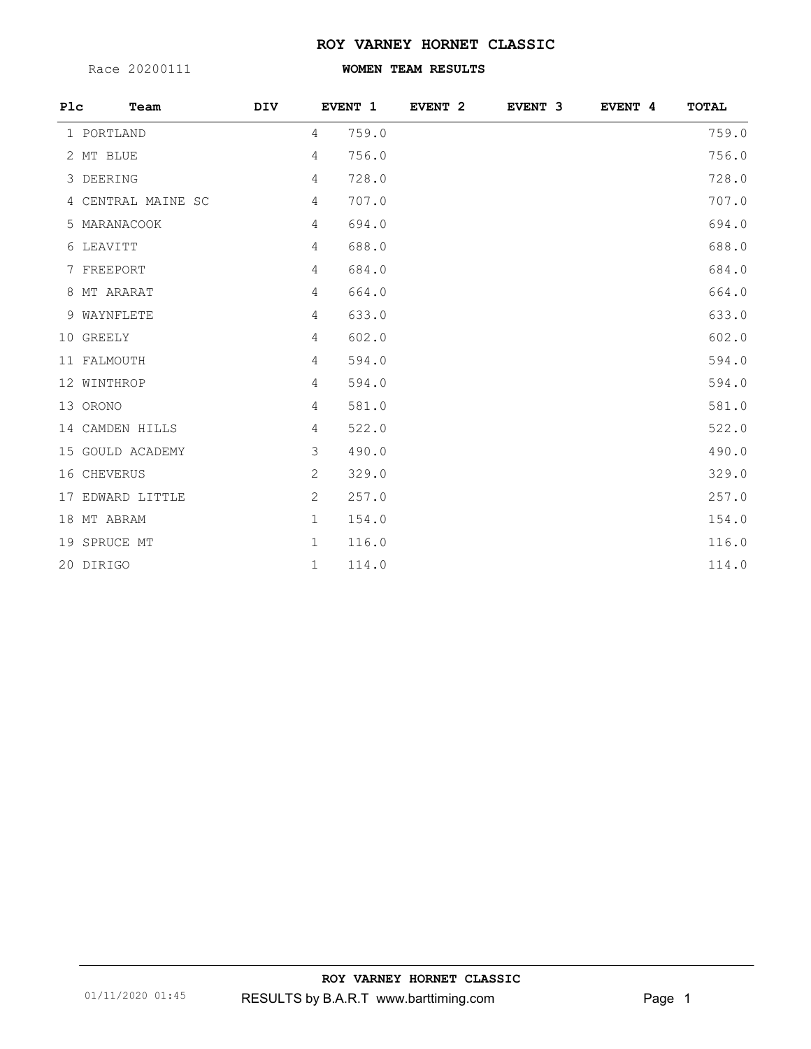### **ROY VARNEY HORNET CLASSIC**

Race 20200111

## **WOMEN TEAM RESULTS**

| P1c | Team               | DIV |              | EVENT 1 | EVENT <sub>2</sub> | EVENT 3 | EVENT 4 | TOTAL |
|-----|--------------------|-----|--------------|---------|--------------------|---------|---------|-------|
|     | 1 PORTLAND         |     | 4            | 759.0   |                    |         |         | 759.0 |
|     | 2 MT BLUE          |     | 4            | 756.0   |                    |         |         | 756.0 |
|     | 3 DEERING          |     | 4            | 728.0   |                    |         |         | 728.0 |
|     | 4 CENTRAL MAINE SC |     | 4            | 707.0   |                    |         |         | 707.0 |
|     | 5 MARANACOOK       |     | 4            | 694.0   |                    |         |         | 694.0 |
|     | 6 LEAVITT          |     | 4            | 688.0   |                    |         |         | 688.0 |
|     | 7 FREEPORT         |     | 4            | 684.0   |                    |         |         | 684.0 |
|     | 8 MT ARARAT        |     | 4            | 664.0   |                    |         |         | 664.0 |
|     | 9 WAYNFLETE        |     | 4            | 633.0   |                    |         |         | 633.0 |
|     | 10 GREELY          |     | 4            | 602.0   |                    |         |         | 602.0 |
|     | 11 FALMOUTH        |     | 4            | 594.0   |                    |         |         | 594.0 |
|     | 12 WINTHROP        |     | 4            | 594.0   |                    |         |         | 594.0 |
|     | 13 ORONO           |     | 4            | 581.0   |                    |         |         | 581.0 |
|     | 14 CAMDEN HILLS    |     | 4            | 522.0   |                    |         |         | 522.0 |
|     | 15 GOULD ACADEMY   |     | 3            | 490.0   |                    |         |         | 490.0 |
|     | 16 CHEVERUS        |     | 2            | 329.0   |                    |         |         | 329.0 |
|     | 17 EDWARD LITTLE   |     | 2            | 257.0   |                    |         |         | 257.0 |
|     | 18 MT ABRAM        |     | $\mathbf 1$  | 154.0   |                    |         |         | 154.0 |
|     | 19 SPRUCE MT       |     | $\mathbf{1}$ | 116.0   |                    |         |         | 116.0 |
|     | 20 DIRIGO          |     | $\mathbf 1$  | 114.0   |                    |         |         | 114.0 |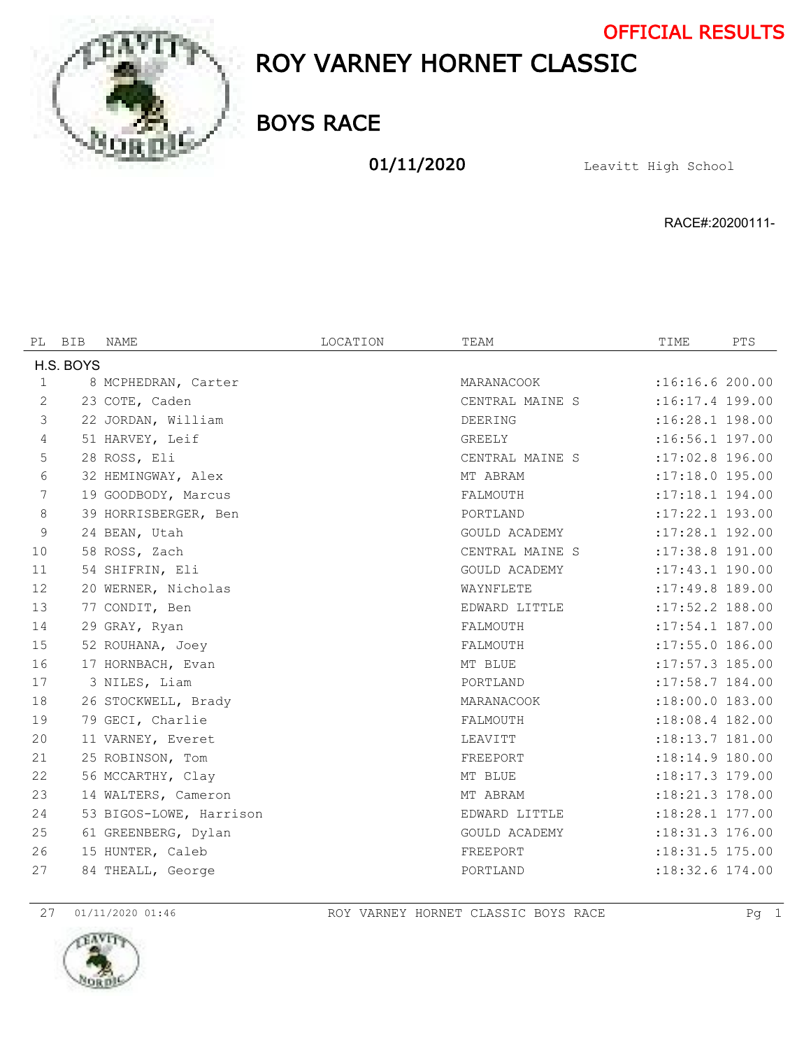

# ROY VARNEY HORNET CLASSIC OFFICIAL RESULTS

BOYS RACE

01/11/2020 Leavitt High School

RACE#:20200111-

| PL             | BIB       | NAME                    | LOCATION | TEAM                 | TIME              | PTS |
|----------------|-----------|-------------------------|----------|----------------------|-------------------|-----|
|                | H.S. BOYS |                         |          |                      |                   |     |
| $\mathbf{1}$   |           | 8 MCPHEDRAN, Carter     |          | MARANACOOK           | :16:16.6 200.00   |     |
| $\mathbf{2}$   |           | 23 COTE, Caden          |          | CENTRAL MAINE S      | :16:17.4 199.00   |     |
| 3              |           | 22 JORDAN, William      |          | DEERING              | $:16:28.1$ 198.00 |     |
| $\overline{4}$ |           | 51 HARVEY, Leif         |          | GREELY               | $:16:56.1$ 197.00 |     |
| 5              |           | 28 ROSS, Eli            |          | CENTRAL MAINE S      | :17:02.8 196.00   |     |
| 6              |           | 32 HEMINGWAY, Alex      |          | MT ABRAM             | $:17:18.0$ 195.00 |     |
| 7              |           | 19 GOODBODY, Marcus     |          | FALMOUTH             | :17:18.1 194.00   |     |
| $\,8\,$        |           | 39 HORRISBERGER, Ben    |          | PORTLAND             | $:17:22.1$ 193.00 |     |
| 9              |           | 24 BEAN, Utah           |          | GOULD ACADEMY        | :17:28.1 192.00   |     |
| 10             |           | 58 ROSS, Zach           |          | CENTRAL MAINE S      | :17:38.8 191.00   |     |
| 11             |           | 54 SHIFRIN, Eli         |          | <b>GOULD ACADEMY</b> | :17:43.1 190.00   |     |
| 12             |           | 20 WERNER, Nicholas     |          | WAYNFLETE            | :17:49.8 189.00   |     |
| 13             |           | 77 CONDIT, Ben          |          | EDWARD LITTLE        | :17:52.2 188.00   |     |
| 14             |           | 29 GRAY, Ryan           |          | FALMOUTH             | :17:54.1 187.00   |     |
| 15             |           | 52 ROUHANA, Joey        |          | FALMOUTH             | $:17:55.0$ 186.00 |     |
| 16             |           | 17 HORNBACH, Evan       |          | MT BLUE              | :17:57.3 185.00   |     |
| 17             |           | 3 NILES, Liam           |          | PORTLAND             | :17:58.7 184.00   |     |
| 18             |           | 26 STOCKWELL, Brady     |          | MARANACOOK           | $:18:00.0$ 183.00 |     |
| 19             |           | 79 GECI, Charlie        |          | FALMOUTH             | :18:08.4 182.00   |     |
| 20             |           | 11 VARNEY, Everet       |          | LEAVITT              | :18:13.7 181.00   |     |
| 21             |           | 25 ROBINSON, Tom        |          | FREEPORT             | $:18:14.9$ 180.00 |     |
| 22             |           | 56 MCCARTHY, Clay       |          | MT BLUE              | $:18:17.3$ 179.00 |     |
| 23             |           | 14 WALTERS, Cameron     |          | MT ABRAM             | :18:21.3 178.00   |     |
| 24             |           | 53 BIGOS-LOWE, Harrison |          | EDWARD LITTLE        | :18:28.1 177.00   |     |
| 25             |           | 61 GREENBERG, Dylan     |          | GOULD ACADEMY        | :18:31.3 176.00   |     |
| 26             |           | 15 HUNTER, Caleb        |          | FREEPORT             | :18:31.5 175.00   |     |
| 27             |           | 84 THEALL, George       |          | PORTLAND             | $:18:32.6$ 174.00 |     |



01/11/2020 01:46 ROY VARNEY HORNET CLASSIC BOYS RACE Pg 1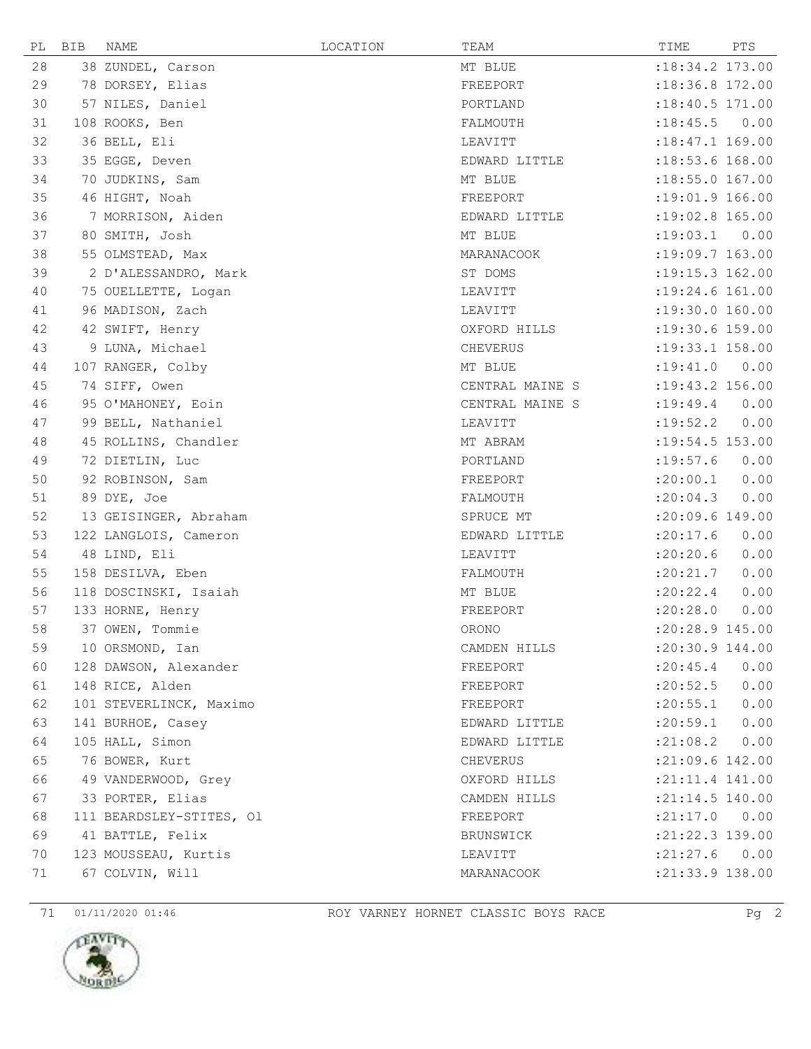| PL | BIB | NAME                     | LOCATION | TEAM            | TIME                | PTS  |
|----|-----|--------------------------|----------|-----------------|---------------------|------|
| 28 |     | 38 ZUNDEL, Carson        |          | MT BLUE         | $:18:34.2$ 173.00   |      |
| 29 |     | 78 DORSEY, Elias         |          | FREEPORT        | :18:36.8 172.00     |      |
| 30 |     | 57 NILES, Daniel         |          | PORTLAND        | $:18:40.5$ 171.00   |      |
| 31 |     | 108 ROOKS, Ben           |          | FALMOUTH        | :18:45.5            | 0.00 |
| 32 |     | 36 BELL, Eli             |          | LEAVITT         | $:18:47.1$ 169.00   |      |
| 33 |     | 35 EGGE, Deven           |          | EDWARD LITTLE   | $:18:53.6$ 168.00   |      |
| 34 |     | 70 JUDKINS, Sam          |          | MT BLUE         | $:18:55.0$ 167.00   |      |
| 35 |     | 46 HIGHT, Noah           |          | FREEPORT        | $:19:01.9$ 166.00   |      |
| 36 |     | 7 MORRISON, Aiden        |          | EDWARD LITTLE   | $:19:02.8$ 165.00   |      |
| 37 |     | 80 SMITH, Josh           |          | MT BLUE         | :19:03.1            | 0.00 |
| 38 |     | 55 OLMSTEAD, Max         |          | MARANACOOK      | :19:09.7 163.00     |      |
| 39 |     | 2 D'ALESSANDRO, Mark     |          | ST DOMS         | $:19:15.3$ 162.00   |      |
| 40 |     | 75 OUELLETTE, Logan      |          | LEAVITT         | $:19:24.6$ 161.00   |      |
| 41 |     | 96 MADISON, Zach         |          | LEAVITT         | :19:30.0 160.00     |      |
| 42 |     | 42 SWIFT, Henry          |          | OXFORD HILLS    | :19:30.6 159.00     |      |
| 43 |     | 9 LUNA, Michael          |          | CHEVERUS        | $: 19: 33.1$ 158.00 |      |
| 44 |     | 107 RANGER, Colby        |          | MT BLUE         | :19:41.0            | 0.00 |
| 45 |     | 74 SIFF, Owen            |          | CENTRAL MAINE S | : 19: 43.2 156.00   |      |
| 46 |     | 95 O'MAHONEY, Eoin       |          | CENTRAL MAINE S | : 19: 49.4          | 0.00 |
| 47 |     | 99 BELL, Nathaniel       |          | LEAVITT         | :19:52.2            | 0.00 |
| 48 |     | 45 ROLLINS, Chandler     |          | MT ABRAM        | $: 19:54.5$ 153.00  |      |
| 49 |     | 72 DIETLIN, Luc          |          | PORTLAND        | :19:57.6            | 0.00 |
| 50 |     | 92 ROBINSON, Sam         |          | FREEPORT        | :20:00.1            | 0.00 |
| 51 |     | 89 DYE, Joe              |          | FALMOUTH        | : 20:04.3           | 0.00 |
| 52 |     | 13 GEISINGER, Abraham    |          | SPRUCE MT       | :20:09.6 149.00     |      |
| 53 |     | 122 LANGLOIS, Cameron    |          | EDWARD LITTLE   | :20:17.6            | 0.00 |
| 54 |     | 48 LIND, Eli             |          | LEAVITT         | :20:20.6            | 0.00 |
| 55 |     | 158 DESILVA, Eben        |          | FALMOUTH        | :20:21.7            | 0.00 |
| 56 |     | 118 DOSCINSKI, Isaiah    |          | MT BLUE         | :20:22.4            | 0.00 |
| 57 |     | 133 HORNE, Henry         |          | FREEPORT        | :20:28.0            | 0.00 |
| 58 |     | 37 OWEN, Tommie          |          | ORONO           | :20:28.9 145.00     |      |
| 59 |     | 10 ORSMOND, Ian          |          | CAMDEN HILLS    | $: 20:30.9$ 144.00  |      |
| 60 |     | 128 DAWSON, Alexander    |          | FREEPORT        | : 20: 45.4          | 0.00 |
| 61 |     | 148 RICE, Alden          |          | FREEPORT        | : 20:52.5           | 0.00 |
| 62 |     | 101 STEVERLINCK, Maximo  |          | FREEPORT        | : 20:55.1           | 0.00 |
| 63 |     | 141 BURHOE, Casey        |          | EDWARD LITTLE   | : 20:59.1           | 0.00 |
| 64 |     | 105 HALL, Simon          |          | EDWARD LITTLE   | : 21:08.2           | 0.00 |
| 65 |     | 76 BOWER, Kurt           |          | CHEVERUS        | $: 21:09.6$ 142.00  |      |
| 66 |     | 49 VANDERWOOD, Grey      |          | OXFORD HILLS    | $: 21:11.4$ 141.00  |      |
| 67 |     | 33 PORTER, Elias         |          | CAMDEN HILLS    | : 21:14.5 140.00    |      |
| 68 |     | 111 BEARDSLEY-STITES, Ol |          | FREEPORT        | :21:17.0            | 0.00 |
| 69 |     | 41 BATTLE, Felix         |          | BRUNSWICK       | :21:22.3 139.00     |      |
| 70 |     | 123 MOUSSEAU, Kurtis     |          | LEAVITT         | $:21:27.6$ 0.00     |      |
| 71 |     | 67 COLVIN, Will          |          | MARANACOOK      | :21:33.9 138.00     |      |

 $\overline{a}$ 



71 01/11/2020 01:46 ROY VARNEY HORNET CLASSIC BOYS RACE Pg 2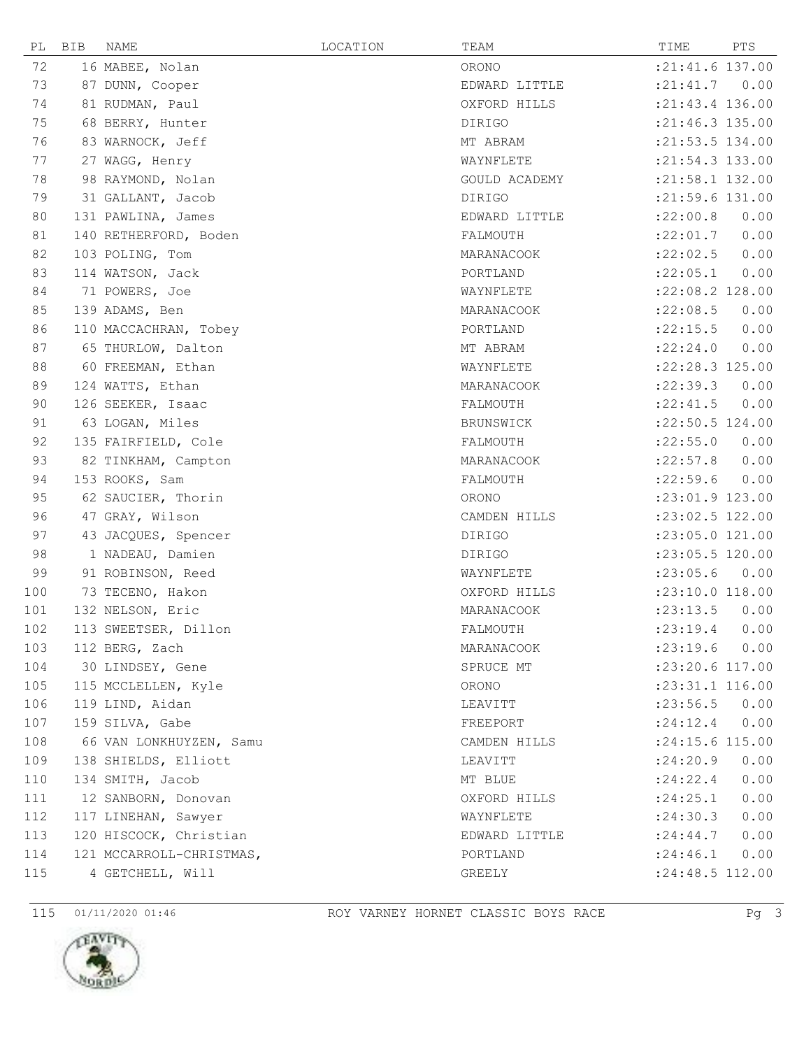



| PL  | BIB | NAME                     | LOCATION | TEAM          | TIME                | PTS  |
|-----|-----|--------------------------|----------|---------------|---------------------|------|
| 72  |     | 16 MABEE, Nolan          |          | ORONO         | :21:41.6 137.00     |      |
| 73  |     | 87 DUNN, Cooper          |          | EDWARD LITTLE | : 21: 41.7 0.00     |      |
| 74  |     | 81 RUDMAN, Paul          |          | OXFORD HILLS  | :21:43.4 136.00     |      |
| 75  |     | 68 BERRY, Hunter         |          | DIRIGO        | $: 21: 46.3$ 135.00 |      |
| 76  |     | 83 WARNOCK, Jeff         |          | MT ABRAM      | : 21:53.5 134.00    |      |
| 77  |     | 27 WAGG, Henry           |          | WAYNFLETE     | :21:54.3 133.00     |      |
| 78  |     | 98 RAYMOND, Nolan        |          | GOULD ACADEMY | :21:58.1 132.00     |      |
| 79  |     | 31 GALLANT, Jacob        |          | DIRIGO        | $:21:59.6$ 131.00   |      |
| 80  |     | 131 PAWLINA, James       |          | EDWARD LITTLE | :22:00.8            | 0.00 |
| 81  |     | 140 RETHERFORD, Boden    |          | FALMOUTH      | :22:01.7            | 0.00 |
| 82  |     | 103 POLING, Tom          |          | MARANACOOK    | :22:02.5            | 0.00 |
| 83  |     | 114 WATSON, Jack         |          | PORTLAND      | :22:05.1            | 0.00 |
| 84  |     | 71 POWERS, Joe           |          | WAYNFLETE     | :22:08.2 128.00     |      |
| 85  |     | 139 ADAMS, Ben           |          | MARANACOOK    | :22:08.5            | 0.00 |
| 86  |     | 110 MACCACHRAN, Tobey    |          | PORTLAND      | :22:15.5            | 0.00 |
| 87  |     | 65 THURLOW, Dalton       |          | MT ABRAM      | :22:24.0            | 0.00 |
| 88  |     | 60 FREEMAN, Ethan        |          | WAYNFLETE     | :22:28.3 125.00     |      |
| 89  |     | 124 WATTS, Ethan         |          | MARANACOOK    | : 22: 39.3          | 0.00 |
| 90  |     | 126 SEEKER, Isaac        |          | FALMOUTH      | : 22: 41.5          | 0.00 |
| 91  |     | 63 LOGAN, Miles          |          | BRUNSWICK     | :22:50.5 124.00     |      |
| 92  |     | 135 FAIRFIELD, Cole      |          | FALMOUTH      | :22:55.0            | 0.00 |
| 93  |     | 82 TINKHAM, Campton      |          | MARANACOOK    | : 22: 57.8          | 0.00 |
| 94  |     | 153 ROOKS, Sam           |          | FALMOUTH      | : 22:59.6           | 0.00 |
| 95  |     | 62 SAUCIER, Thorin       |          | ORONO         | $: 23:01.9$ 123.00  |      |
| 96  |     | 47 GRAY, Wilson          |          | CAMDEN HILLS  | :23:02.5 122.00     |      |
| 97  |     | 43 JACQUES, Spencer      |          | DIRIGO        | :23:05.0 121.00     |      |
| 98  |     | 1 NADEAU, Damien         |          | <b>DIRIGO</b> | :23:05.5 120.00     |      |
| 99  |     | 91 ROBINSON, Reed        |          | WAYNFLETE     | : 23:05.6           | 0.00 |
| 100 |     | 73 TECENO, Hakon         |          | OXFORD HILLS  | :23:10.0 118.00     |      |
| 101 |     | 132 NELSON, Eric         |          | MARANACOOK    | : 23: 13.5          | 0.00 |
| 102 |     | 113 SWEETSER, Dillon     |          | FALMOUTH      | : 23: 19.4          | 0.00 |
| 103 |     | 112 BERG, Zach           |          | MARANACOOK    | : 23: 19.6          | 0.00 |
| 104 |     | 30 LINDSEY, Gene         |          | SPRUCE MT     | :23:20.6 117.00     |      |
| 105 |     | 115 MCCLELLEN, Kyle      |          | ORONO         | :23:31.1 116.00     |      |
| 106 |     | 119 LIND, Aidan          |          | LEAVITT       | : 23:56.5 0.00      |      |
| 107 |     | 159 SILVA, Gabe          |          | FREEPORT      | : 24:12.4           | 0.00 |
| 108 |     | 66 VAN LONKHUYZEN, Samu  |          | CAMDEN HILLS  | :24:15.6 115.00     |      |
| 109 |     | 138 SHIELDS, Elliott     |          | LEAVITT       | : 24:20.9           | 0.00 |
| 110 |     | 134 SMITH, Jacob         |          | MT BLUE       | : 24:22.4           | 0.00 |
| 111 |     | 12 SANBORN, Donovan      |          | OXFORD HILLS  | : 24:25.1           | 0.00 |
| 112 |     | 117 LINEHAN, Sawyer      |          | WAYNFLETE     | : 24:30.3           | 0.00 |
| 113 |     | 120 HISCOCK, Christian   |          | EDWARD LITTLE | : 24:44.7           | 0.00 |
| 114 |     | 121 MCCARROLL-CHRISTMAS, |          | PORTLAND      | : 24:46.1           | 0.00 |
| 115 |     | 4 GETCHELL, Will         |          | GREELY        | $: 24:48.5$ 112.00  |      |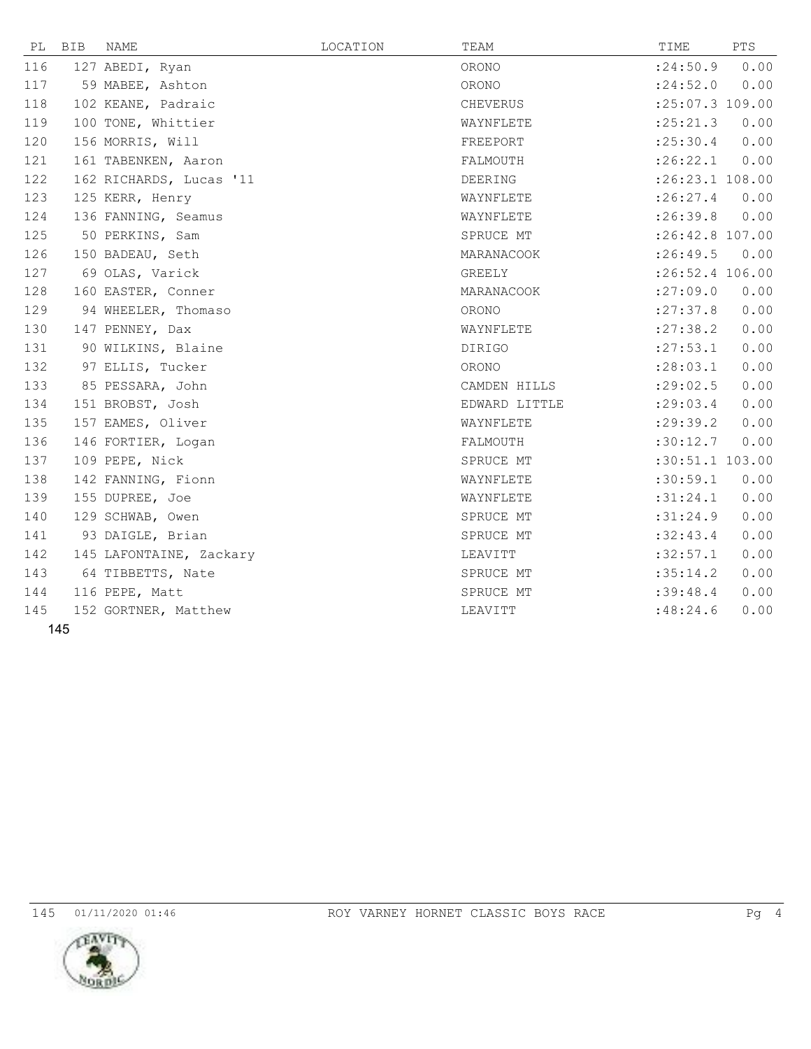| PL  | BIB | NAME                    | LOCATION | TEAM          | TIME              | PTS  |
|-----|-----|-------------------------|----------|---------------|-------------------|------|
| 116 |     | 127 ABEDI, Ryan         |          | ORONO         | : 24:50.9         | 0.00 |
| 117 |     | 59 MABEE, Ashton        |          | ORONO         | : 24:52.0         | 0.00 |
| 118 |     | 102 KEANE, Padraic      |          | CHEVERUS      | :25:07.3 109.00   |      |
| 119 |     | 100 TONE, Whittier      |          | WAYNFLETE     | : 25: 21.3        | 0.00 |
| 120 |     | 156 MORRIS, Will        |          | FREEPORT      | : 25:30.4         | 0.00 |
| 121 |     | 161 TABENKEN, Aaron     |          | FALMOUTH      | :26:22.1          | 0.00 |
| 122 |     | 162 RICHARDS, Lucas '11 |          | DEERING       | :26:23.1 108.00   |      |
| 123 |     | 125 KERR, Henry         |          | WAYNFLETE     | : 26:27.4         | 0.00 |
| 124 |     | 136 FANNING, Seamus     |          | WAYNFLETE     | :26:39.8          | 0.00 |
| 125 |     | 50 PERKINS, Sam         |          | SPRUCE MT     | :26:42.8 107.00   |      |
| 126 |     | 150 BADEAU, Seth        |          | MARANACOOK    | : 26:49.5         | 0.00 |
| 127 |     | 69 OLAS, Varick         |          | GREELY        | $:26:52.4$ 106.00 |      |
| 128 |     | 160 EASTER, Conner      |          | MARANACOOK    | : 27:09.0         | 0.00 |
| 129 |     | 94 WHEELER, Thomaso     |          | ORONO         | : 27:37.8         | 0.00 |
| 130 |     | 147 PENNEY, Dax         |          | WAYNFLETE     | : 27:38.2         | 0.00 |
| 131 |     | 90 WILKINS, Blaine      |          | <b>DIRIGO</b> | : 27: 53.1        | 0.00 |
| 132 |     | 97 ELLIS, Tucker        |          | ORONO         | : 28:03.1         | 0.00 |
| 133 |     | 85 PESSARA, John        |          | CAMDEN HILLS  | : 29:02.5         | 0.00 |
| 134 |     | 151 BROBST, Josh        |          | EDWARD LITTLE | : 29:03.4         | 0.00 |
| 135 |     | 157 EAMES, Oliver       |          | WAYNFLETE     | : 29:39.2         | 0.00 |
| 136 |     | 146 FORTIER, Logan      |          | FALMOUTH      | :30:12.7          | 0.00 |
| 137 |     | 109 PEPE, Nick          |          | SPRUCE MT     | :30:51.1 103.00   |      |
| 138 |     | 142 FANNING, Fionn      |          | WAYNFLETE     | :30:59.1          | 0.00 |
| 139 |     | 155 DUPREE, Joe         |          | WAYNFLETE     | :31:24.1          | 0.00 |
| 140 |     | 129 SCHWAB, Owen        |          | SPRUCE MT     | :31:24.9          | 0.00 |
| 141 |     | 93 DAIGLE, Brian        |          | SPRUCE MT     | :32:43.4          | 0.00 |
| 142 |     | 145 LAFONTAINE, Zackary |          | LEAVITT       | :32:57.1          | 0.00 |
| 143 |     | 64 TIBBETTS, Nate       |          | SPRUCE MT     | :35:14.2          | 0.00 |
| 144 |     | 116 PEPE, Matt          |          | SPRUCE MT     | :39:48.4          | 0.00 |
| 145 |     | 152 GORTNER, Matthew    |          | LEAVITT       | :48:24.6          | 0.00 |